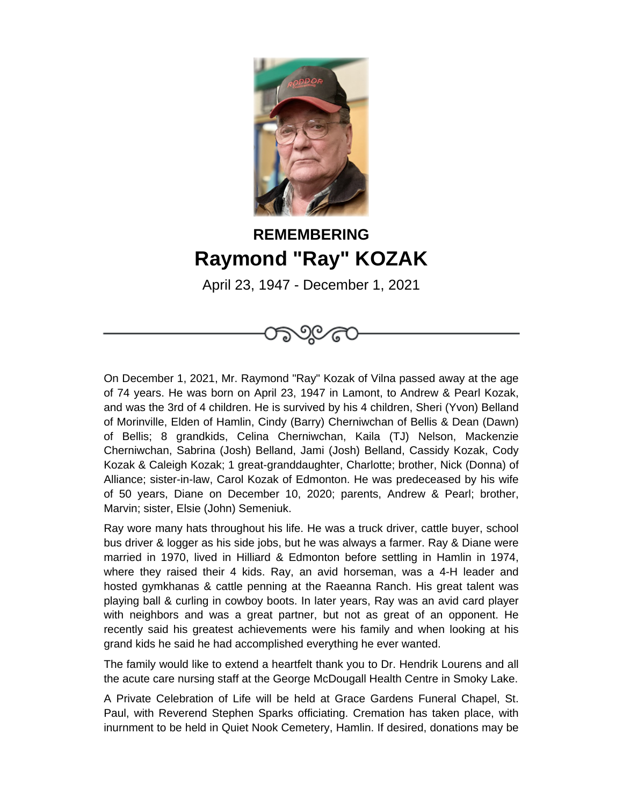

## **REMEMBERING Raymond "Ray" KOZAK**

April 23, 1947 - December 1, 2021

්ග ල

On December 1, 2021, Mr. Raymond "Ray" Kozak of Vilna passed away at the age of 74 years. He was born on April 23, 1947 in Lamont, to Andrew & Pearl Kozak, and was the 3rd of 4 children. He is survived by his 4 children, Sheri (Yvon) Belland of Morinville, Elden of Hamlin, Cindy (Barry) Cherniwchan of Bellis & Dean (Dawn) of Bellis; 8 grandkids, Celina Cherniwchan, Kaila (TJ) Nelson, Mackenzie Cherniwchan, Sabrina (Josh) Belland, Jami (Josh) Belland, Cassidy Kozak, Cody Kozak & Caleigh Kozak; 1 great-granddaughter, Charlotte; brother, Nick (Donna) of Alliance; sister-in-law, Carol Kozak of Edmonton. He was predeceased by his wife of 50 years, Diane on December 10, 2020; parents, Andrew & Pearl; brother, Marvin; sister, Elsie (John) Semeniuk.

Ray wore many hats throughout his life. He was a truck driver, cattle buyer, school bus driver & logger as his side jobs, but he was always a farmer. Ray & Diane were married in 1970, lived in Hilliard & Edmonton before settling in Hamlin in 1974, where they raised their 4 kids. Ray, an avid horseman, was a 4-H leader and hosted gymkhanas & cattle penning at the Raeanna Ranch. His great talent was playing ball & curling in cowboy boots. In later years, Ray was an avid card player with neighbors and was a great partner, but not as great of an opponent. He recently said his greatest achievements were his family and when looking at his grand kids he said he had accomplished everything he ever wanted.

The family would like to extend a heartfelt thank you to Dr. Hendrik Lourens and all the acute care nursing staff at the George McDougall Health Centre in Smoky Lake.

A Private Celebration of Life will be held at Grace Gardens Funeral Chapel, St. Paul, with Reverend Stephen Sparks officiating. Cremation has taken place, with inurnment to be held in Quiet Nook Cemetery, Hamlin. If desired, donations may be